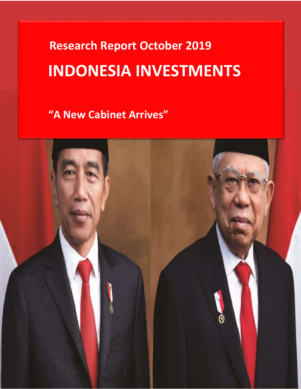## **Research Report October 2019 INDONESIA INVESTMENTS**

 **"A New Cabinet Arrives"**

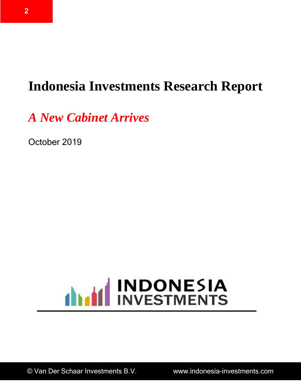## **Indonesia Investments Research Report**

*A New Cabinet Arrives*

October 2019

# **ANTIFICATE INDONESIA**

© Van Der Schaar Investments B.V. www.indonesia-investments.com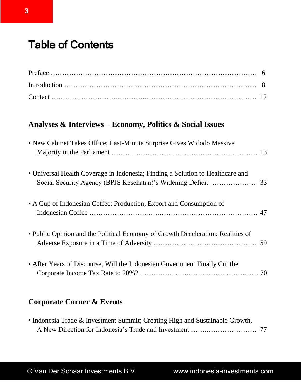## Table of Contents

#### **Analyses & Interviews – Economy, Politics & Social Issues**

| • New Cabinet Takes Office; Last-Minute Surprise Gives Widodo Massive           |  |
|---------------------------------------------------------------------------------|--|
| • Universal Health Coverage in Indonesia; Finding a Solution to Healthcare and  |  |
| • A Cup of Indonesian Coffee; Production, Export and Consumption of             |  |
| • Public Opinion and the Political Economy of Growth Deceleration; Realities of |  |
| • After Years of Discourse, Will the Indonesian Government Finally Cut the      |  |

#### **Corporate Corner & Events**

• Indonesia Trade & Investment Summit; Creating High and Sustainable Growth, A New Direction for Indonesia's Trade and Investment …….…………………. 77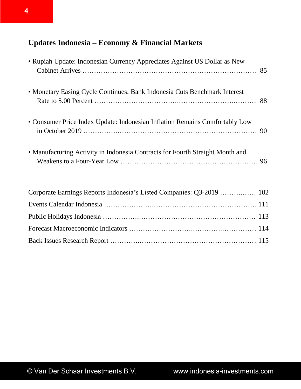#### **Updates Indonesia – Economy & Financial Markets**

| • Rupiah Update: Indonesian Currency Appreciates Against US Dollar as New     |  |
|-------------------------------------------------------------------------------|--|
| • Monetary Easing Cycle Continues: Bank Indonesia Cuts Benchmark Interest     |  |
| • Consumer Price Index Update: Indonesian Inflation Remains Comfortably Low   |  |
| • Manufacturing Activity in Indonesia Contracts for Fourth Straight Month and |  |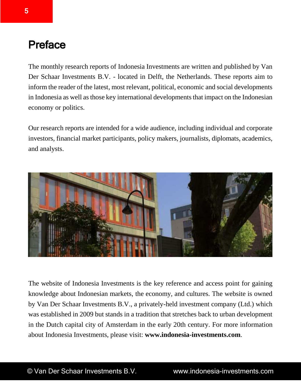### Preface

The monthly research reports of Indonesia Investments are written and published by Van Der Schaar Investments B.V. - located in Delft, the Netherlands. These reports aim to inform the reader of the latest, most relevant, political, economic and social developments in Indonesia as well as those key international developments that impact on the Indonesian economy or politics.

Our research reports are intended for a wide audience, including individual and corporate investors, financial market participants, policy makers, journalists, diplomats, academics, and analysts.



The website of Indonesia Investments is the key reference and access point for gaining knowledge about Indonesian markets, the economy, and cultures. The website is owned by Van Der Schaar Investments B.V., a privately-held investment company (Ltd.) which was established in 2009 but stands in a tradition that stretches back to urban development in the Dutch capital city of Amsterdam in the early 20th century. For more information about Indonesia Investments, please visit: **www.indonesia-investments.com**.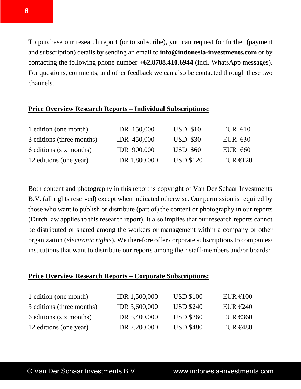To purchase our research report (or to subscribe), you can request for further (payment and subscription) details by sending an email to **info@indonesia-investments.com** or by contacting the following phone number **+62.8788.410.6944** (incl. WhatsApp messages). For questions, comments, and other feedback we can also be contacted through these two channels.

#### **Price Overview Research Reports – Individual Subscriptions:**

| 1 edition (one month)     | <b>IDR</b> 150,000   | <b>USD \$10</b>  | EUR $\epsilon$ 10 |
|---------------------------|----------------------|------------------|-------------------|
| 3 editions (three months) | <b>IDR</b> 450,000   | <b>USD \$30</b>  | EUR $\epsilon$ 30 |
| 6 editions (six months)   | <b>IDR 900,000</b>   | <b>USD \$60</b>  | EUR $\epsilon$ 60 |
| 12 editions (one year)    | <b>IDR 1,800,000</b> | <b>USD \$120</b> | EUR $€120$        |

Both content and photography in this report is copyright of Van Der Schaar Investments B.V. (all rights reserved) except when indicated otherwise. Our permission is required by those who want to publish or distribute (part of) the content or photography in our reports (Dutch law applies to this research report). It also implies that our research reports cannot be distributed or shared among the workers or management within a company or other organization (*electronic rights*). We therefore offer corporate subscriptions to companies/ institutions that want to distribute our reports among their staff-members and/or boards:

#### **Price Overview Research Reports – Corporate Subscriptions:**

| 1 edition (one month)     | <b>IDR 1,500,000</b> | <b>USD \$100</b> | EUR $€100$ |
|---------------------------|----------------------|------------------|------------|
| 3 editions (three months) | <b>IDR 3,600,000</b> | <b>USD \$240</b> | EUR $E240$ |
| 6 editions (six months)   | <b>IDR 5,400,000</b> | <b>USD \$360</b> | EUR $€360$ |
| 12 editions (one year)    | <b>IDR 7,200,000</b> | <b>USD \$480</b> | EUR $€480$ |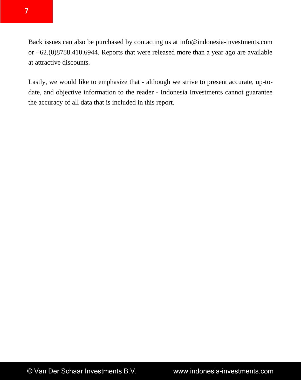Back issues can also be purchased by contacting us at info@indonesia-investments.com or +62.(0)8788.410.6944. Reports that were released more than a year ago are available at attractive discounts.

Lastly, we would like to emphasize that - although we strive to present accurate, up-todate, and objective information to the reader - Indonesia Investments cannot guarantee the accuracy of all data that is included in this report.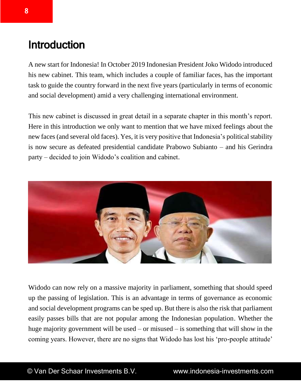## Introduction

A new start for Indonesia! In October 2019 Indonesian President Joko Widodo introduced his new cabinet. This team, which includes a couple of familiar faces, has the important task to guide the country forward in the next five years (particularly in terms of economic and social development) amid a very challenging international environment.

This new cabinet is discussed in great detail in a separate chapter in this month's report. Here in this introduction we only want to mention that we have mixed feelings about the new faces (and several old faces). Yes, it is very positive that Indonesia's political stability is now secure as defeated presidential candidate Prabowo Subianto – and his Gerindra party – decided to join Widodo's coalition and cabinet.



Widodo can now rely on a massive majority in parliament, something that should speed up the passing of legislation. This is an advantage in terms of governance as economic and social development programs can be sped up. But there is also the risk that parliament easily passes bills that are not popular among the Indonesian population. Whether the huge majority government will be used – or misused – is something that will show in the coming years. However, there are no signs that Widodo has lost his 'pro-people attitude'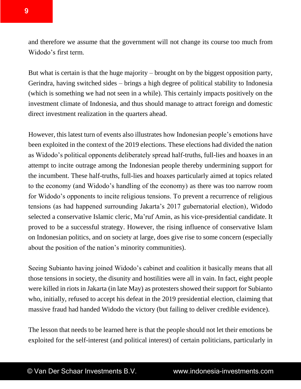9

and therefore we assume that the government will not change its course too much from Widodo's first term.

But what is certain is that the huge majority – brought on by the biggest opposition party, Gerindra, having switched sides – brings a high degree of political stability to Indonesia (which is something we had not seen in a while). This certainly impacts positively on the investment climate of Indonesia, and thus should manage to attract foreign and domestic direct investment realization in the quarters ahead.

However, this latest turn of events also illustrates how Indonesian people's emotions have been exploited in the context of the 2019 elections. These elections had divided the nation as Widodo's political opponents deliberately spread half-truths, full-lies and hoaxes in an attempt to incite outrage among the Indonesian people thereby undermining support for the incumbent. These half-truths, full-lies and hoaxes particularly aimed at topics related to the economy (and Widodo's handling of the economy) as there was too narrow room for Widodo's opponents to incite religious tensions. To prevent a recurrence of religious tensions (as had happened surrounding Jakarta's 2017 gubernatorial election), Widodo selected a conservative Islamic cleric, Ma'ruf Amin, as his vice-presidential candidate. It proved to be a successful strategy. However, the rising influence of conservative Islam on Indonesian politics, and on society at large, does give rise to some concern (especially about the position of the nation's minority communities).

Seeing Subianto having joined Widodo's cabinet and coalition it basically means that all those tensions in society, the disunity and hostilities were all in vain. In fact, eight people were killed in riots in Jakarta (in late May) as protesters showed their support for Subianto who, initially, refused to accept his defeat in the 2019 presidential election, claiming that massive fraud had handed Widodo the victory (but failing to deliver credible evidence).

The lesson that needs to be learned here is that the people should not let their emotions be exploited for the self-interest (and political interest) of certain politicians, particularly in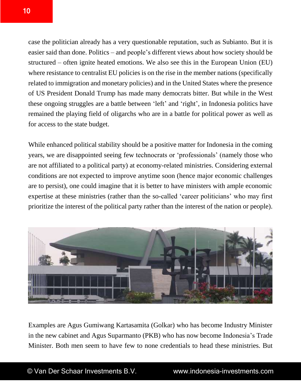case the politician already has a very questionable reputation, such as Subianto. But it is easier said than done. Politics – and people's different views about how society should be structured – often ignite heated emotions. We also see this in the European Union (EU) where resistance to centralist EU policies is on the rise in the member nations (specifically related to immigration and monetary policies) and in the United States where the presence of US President Donald Trump has made many democrats bitter. But while in the West these ongoing struggles are a battle between 'left' and 'right', in Indonesia politics have remained the playing field of oligarchs who are in a battle for political power as well as for access to the state budget.

While enhanced political stability should be a positive matter for Indonesia in the coming years, we are disappointed seeing few technocrats or 'professionals' (namely those who are not affiliated to a political party) at economy-related ministries. Considering external conditions are not expected to improve anytime soon (hence major economic challenges are to persist), one could imagine that it is better to have ministers with ample economic expertise at these ministries (rather than the so-called 'career politicians' who may first prioritize the interest of the political party rather than the interest of the nation or people).



Examples are Agus Gumiwang Kartasamita (Golkar) who has become Industry Minister in the new cabinet and Agus Suparmanto (PKB) who has now become Indonesia's Trade Minister. Both men seem to have few to none credentials to head these ministries. But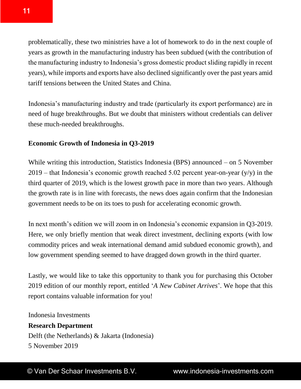problematically, these two ministries have a lot of homework to do in the next couple of years as growth in the manufacturing industry has been subdued (with the contribution of the manufacturing industry to Indonesia's gross domestic product sliding rapidly in recent years), while imports and exports have also declined significantly over the past years amid tariff tensions between the United States and China.

Indonesia's manufacturing industry and trade (particularly its export performance) are in need of huge breakthroughs. But we doubt that ministers without credentials can deliver these much-needed breakthroughs.

#### **Economic Growth of Indonesia in Q3-2019**

While writing this introduction, Statistics Indonesia (BPS) announced – on 5 November 2019 – that Indonesia's economic growth reached 5.02 percent year-on-year  $(y/y)$  in the third quarter of 2019, which is the lowest growth pace in more than two years. Although the growth rate is in line with forecasts, the news does again confirm that the Indonesian government needs to be on its toes to push for accelerating economic growth.

In next month's edition we will zoom in on Indonesia's economic expansion in Q3-2019. Here, we only briefly mention that weak direct investment, declining exports (with low commodity prices and weak international demand amid subdued economic growth), and low government spending seemed to have dragged down growth in the third quarter.

Lastly, we would like to take this opportunity to thank you for purchasing this October 2019 edition of our monthly report, entitled '*A New Cabinet Arrives*'. We hope that this report contains valuable information for you!

Indonesia Investments **Research Department** Delft (the Netherlands) & Jakarta (Indonesia) 5 November 2019